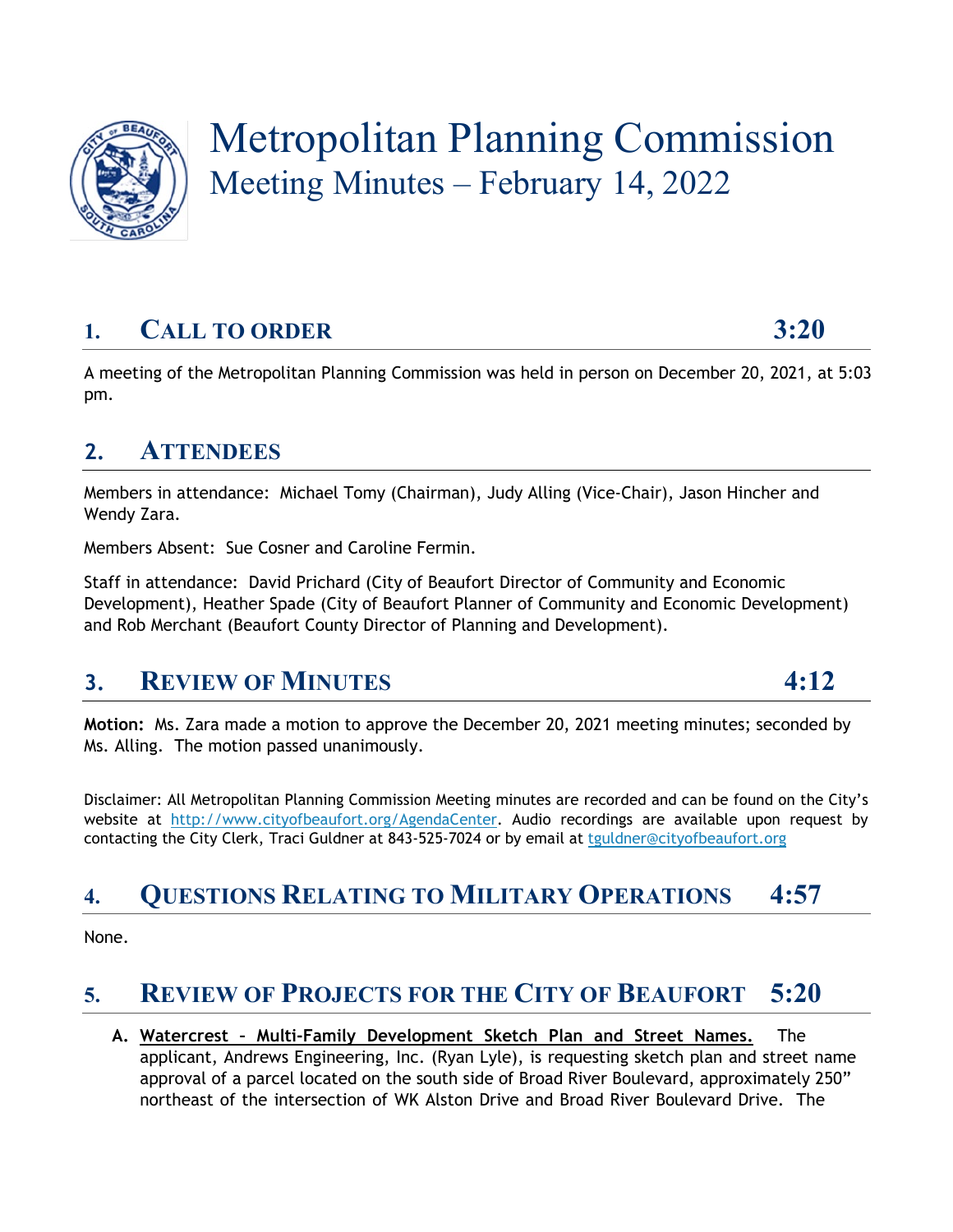

# Metropolitan Planning Commission Meeting Minutes – February 14, 2022

## **1. CALL TO ORDER 3:20**

A meeting of the Metropolitan Planning Commission was held in person on December 20, 2021, at 5:03 pm.

#### **2. ATTENDEES**

Members in attendance: Michael Tomy (Chairman), Judy Alling (Vice-Chair), Jason Hincher and Wendy Zara.

Members Absent: Sue Cosner and Caroline Fermin.

Staff in attendance: David Prichard (City of Beaufort Director of Community and Economic Development), Heather Spade (City of Beaufort Planner of Community and Economic Development) and Rob Merchant (Beaufort County Director of Planning and Development).

#### **3. REVIEW OF MINUTES 4:12**

**Motion:** Ms. Zara made a motion to approve the December 20, 2021 meeting minutes; seconded by Ms. Alling. The motion passed unanimously.

Disclaimer: All Metropolitan Planning Commission Meeting minutes are recorded and can be found on the City's website at [http://www.cityofbeaufort.org/AgendaCenter.](http://www.cityofbeaufort.org/AgendaCenter) Audio recordings are available upon request by contacting the City Clerk, Traci Guldner at 843-525-7024 or by email at [tguldner@cityofbeaufort.org](mailto:tguldner@cityofbeaufort.org)

## **4. QUESTIONS RELATING TO MILITARY OPERATIONS 4:57**

None.

## **5. REVIEW OF PROJECTS FOR THE CITY OF BEAUFORT 5:20**

**A. Watercrest – Multi-Family Development Sketch Plan and Street Names.** The applicant, Andrews Engineering, Inc. (Ryan Lyle), is requesting sketch plan and street name approval of a parcel located on the south side of Broad River Boulevard, approximately 250" northeast of the intersection of WK Alston Drive and Broad River Boulevard Drive. The